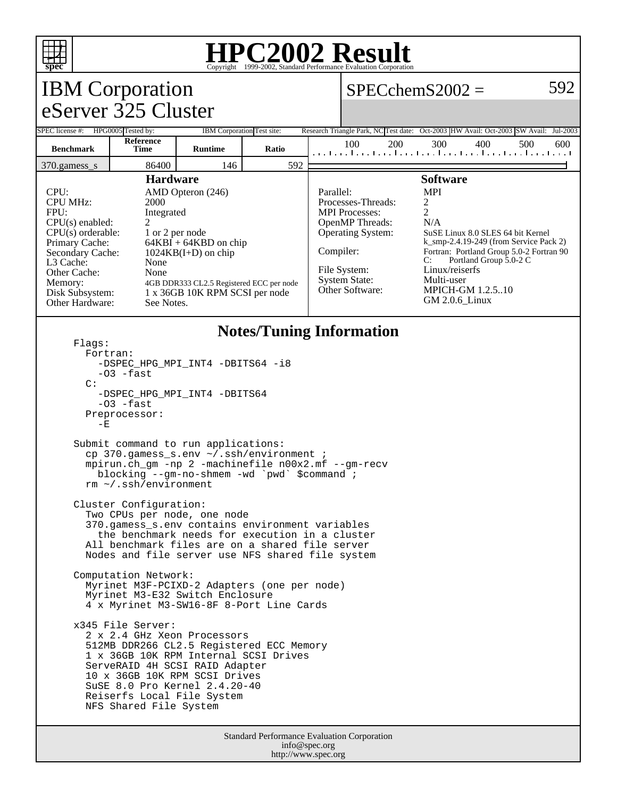

### **HPC2002 Result**  $\overline{\text{Copyright} \textcircled{\tiny{e}}1999\text{-}2002}$ , Standard Performa

#### IBM Corporation eServer 325 Cluster  $SPECchemS2002 = 592$ SPEC license #: HPG0005 Tested by: IBM Corporation Test site: Research Triangle Park, NC Test date: Oct-2003 HW Avail: Oct-2003 SW Avail: Jul-2003 **Benchmark Reference Time Runtime Ratio** 100 200 300 400 500 600 370.gamess\_s 86400 146 592 **Hardware** CPU: AMD Opteron (246) CPU MHz: 2000 FPU: Integrated  $CPU(s)$  enabled:  $2$ CPU(s) orderable: 1 or 2 per node<br>Primary Cache: 64KBI + 64KB  $64KBI + 64KBD$  on chip Secondary Cache: 1024KB(I+D) on chip L3 Cache: None Other Cache: None Memory: 4GB DDR333 CL2.5 Registered ECC per node<br>Disk Subsystem: 1 x 36GB 10K RPM SCSI per node 1 x 36GB 10K RPM SCSI per node Other Hardware: See Notes. **Software** Parallel: MPI Processes-Threads: 2<br>MPI Processes: 2 MPI Processes: OpenMP Threads: N/A Operating System: SuSE Linux 8.0 SLES 64 bit Kernel k\_smp-2.4.19-249 (from Service Pack 2) Compiler: Fortran: Portland Group 5.0-2 Fortran 90<br>C: Portland Group 5.0-2 C Portland Group 5.0-2 C File System: Linux/reiserfs System State: Multi-user<br>Other Software: MPICH-G **MPICH-GM 1.2.5..10** GM 2.0.6\_Linux **Notes/Tuning Information** Flags: Fortran: -DSPEC HPG MPI INT4 -DBITS64 -i8  $-03$   $-*fast*$  C: -DSPEC\_HPG\_MPI\_INT4 -DBITS64  $-03$   $-fast$  Preprocessor:  $-E$  Submit command to run applications: cp 370.gamess\_s.env ~/.ssh/environment ; mpirun.ch\_gm -np 2 -machinefile n00x2.mf --gm-recv blocking --gm-no-shmem -wd `pwd` \$command ; rm ~/.ssh/environment Cluster Configuration: Two CPUs per node, one node 370.gamess\_s.env contains environment variables the benchmark needs for execution in a cluster All benchmark files are on a shared file server Nodes and file server use NFS shared file system Computation Network: Myrinet M3F-PCIXD-2 Adapters (one per node) Myrinet M3-E32 Switch Enclosure 4 x Myrinet M3-SW16-8F 8-Port Line Cards x345 File Server: 2 x 2.4 GHz Xeon Processors 512MB DDR266 CL2.5 Registered ECC Memory 1 x 36GB 10K RPM Internal SCSI Drives

 ServeRAID 4H SCSI RAID Adapter 10 x 36GB 10K RPM SCSI Drives SuSE 8.0 Pro Kernel 2.4.20-40 Reiserfs Local File System NFS Shared File System

> Standard Performance Evaluation Corporation info@spec.org http://www.spec.org